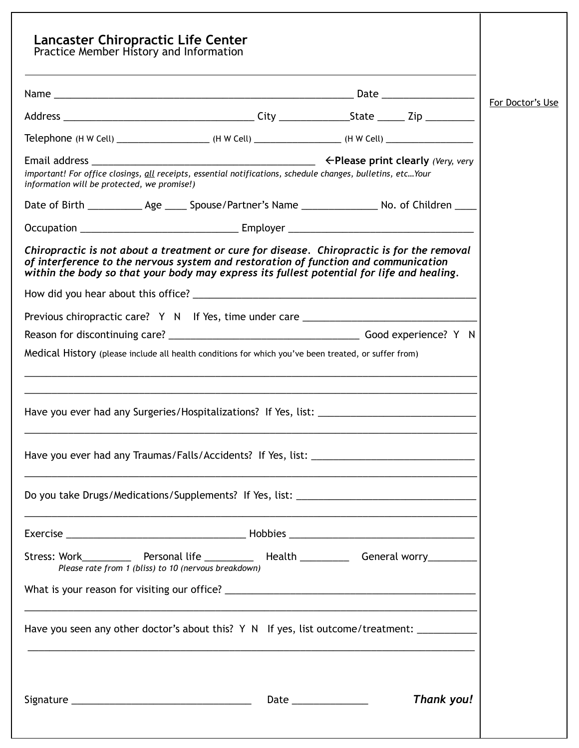|                                             | Practice Member History and Information                                                                                                                                                                                                                                        |  |                  |
|---------------------------------------------|--------------------------------------------------------------------------------------------------------------------------------------------------------------------------------------------------------------------------------------------------------------------------------|--|------------------|
|                                             |                                                                                                                                                                                                                                                                                |  |                  |
|                                             |                                                                                                                                                                                                                                                                                |  | For Doctor's Use |
|                                             | Telephone (H W Cell) _________________________(H W Cell) _______________________(H W Cell) ___________________                                                                                                                                                                 |  |                  |
| information will be protected, we promise!) | important! For office closings, all receipts, essential notifications, schedule changes, bulletins, etcYour                                                                                                                                                                    |  |                  |
|                                             | Date of Birth _____________ Age ______ Spouse/Partner's Name __________________ No. of Children _____                                                                                                                                                                          |  |                  |
|                                             |                                                                                                                                                                                                                                                                                |  |                  |
|                                             | Chiropractic is not about a treatment or cure for disease. Chiropractic is for the removal<br>of interference to the nervous system and restoration of function and communication<br>within the body so that your body may express its fullest potential for life and healing. |  |                  |
|                                             |                                                                                                                                                                                                                                                                                |  |                  |
|                                             | Previous chiropractic care? Y N If Yes, time under care _________________________                                                                                                                                                                                              |  |                  |
|                                             |                                                                                                                                                                                                                                                                                |  |                  |
|                                             | Medical History (please include all health conditions for which you've been treated, or suffer from)                                                                                                                                                                           |  |                  |
|                                             |                                                                                                                                                                                                                                                                                |  |                  |
|                                             | Do you take Drugs/Medications/Supplements? If Yes, list: ________________________                                                                                                                                                                                              |  |                  |
|                                             |                                                                                                                                                                                                                                                                                |  |                  |
|                                             | Stress: Work_____________ Personal life ____________ Health ___________ General worry___________<br>Please rate from 1 (bliss) to 10 (nervous breakdown)                                                                                                                       |  |                  |
|                                             |                                                                                                                                                                                                                                                                                |  |                  |
|                                             | Have you seen any other doctor's about this? Y N If yes, list outcome/treatment:                                                                                                                                                                                               |  |                  |
|                                             |                                                                                                                                                                                                                                                                                |  |                  |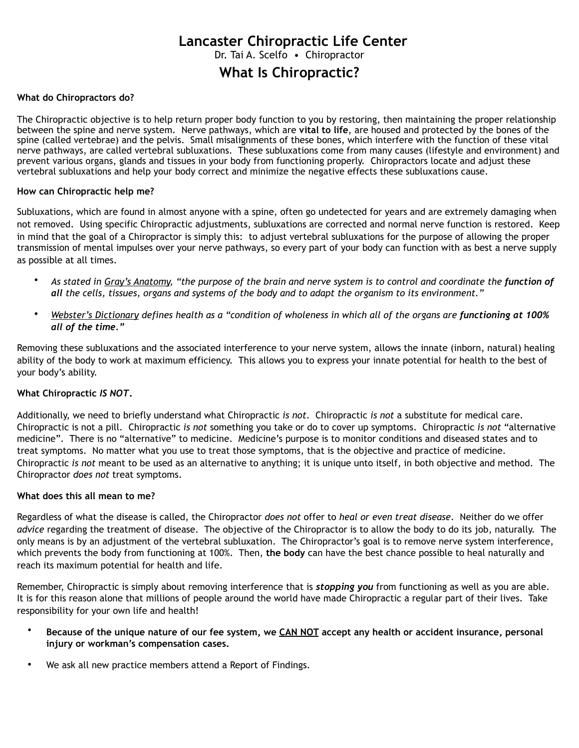# **What Is Chiropractic? Lancaster Chiropractic Life Center** Dr. Tai A. Scelfo . Chiropractor

#### **What do Chiropractors do?**

The Chiropractic objective is to help return proper body function to you by restoring, then maintaining the proper relationship between the spine and nerve system. Nerve pathways, which are **vital to life**, are housed and protected by the bones of the spine (called vertebrae) and the pelvis. Small misalignments of these bones, which interfere with the function of these vital nerve pathways, are called vertebral subluxations. These subluxations come from many causes (lifestyle and environment) and prevent various organs, glands and tissues in your body from functioning properly. Chiropractors locate and adjust these vertebral subluxations and help your body correct and minimize the negative effects these subluxations cause.

#### **How can Chiropractic help me?**

Subluxations, which are found in almost anyone with a spine, often go undetected for years and are extremely damaging when not removed. Using specific Chiropractic adjustments, subluxations are corrected and normal nerve function is restored. Keep in mind that the goal of a Chiropractor is simply this: to adjust vertebral subluxations for the purpose of allowing the proper transmission of mental impulses over your nerve pathways, so every part of your body can function with as best a nerve supply as possible at all times.

- As stated in Gray's Anatomy, "the purpose of the brain and nerve system is to control and coordinate the function of *all the cells, tissues, organs and systems of the body and to adapt the organism to its environment."*
- *Webster's Dictionary defines health as a "condition of wholeness in which all of the organs are functioning at 100% all of the time."*

Removing these subluxations and the associated interference to your nerve system, allows the innate (inborn, natural) healing ability of the body to work at maximum efficiency. This allows you to express your innate potential for health to the best of your body's ability.

#### **What Chiropractic** *IS NOT***.**

Additionally, we need to briefly understand what Chiropractic *is not*. Chiropractic *is not* a substitute for medical care. Chiropractic is not a pill. Chiropractic *is not* something you take or do to cover up symptoms. Chiropractic *is not* "alternative medicine". There is no "alternative" to medicine. Medicine's purpose is to monitor conditions and diseased states and to treat symptoms. No matter what you use to treat those symptoms, that is the objective and practice of medicine. Chiropractic *is not* meant to be used as an alternative to anything; it is unique unto itself, in both objective and method. The Chiropractor *does not* treat symptoms.

#### **What does this all mean to me?**

Regardless of what the disease is called, the Chiropractor *does not* offer to *heal or even treat disease*. Neither do we offer *advice* regarding the treatment of disease. The objective of the Chiropractor is to allow the body to do its job, naturally. The only means is by an adjustment of the vertebral subluxation. The Chiropractor's goal is to remove nerve system interference, which prevents the body from functioning at 100%. Then, **the body** can have the best chance possible to heal naturally and reach its maximum potential for health and life.

Remember, Chiropractic is simply about removing interference that is *stopping you* from functioning as well as you are able. It is for this reason alone that millions of people around the world have made Chiropractic a regular part of their lives. Take responsibility for your own life and health!

- **Because of the unique nature of our fee system, we CAN NOT accept any health or accident insurance, personal injury or workman's compensation cases.**
- We ask all new practice members attend a Report of Findings.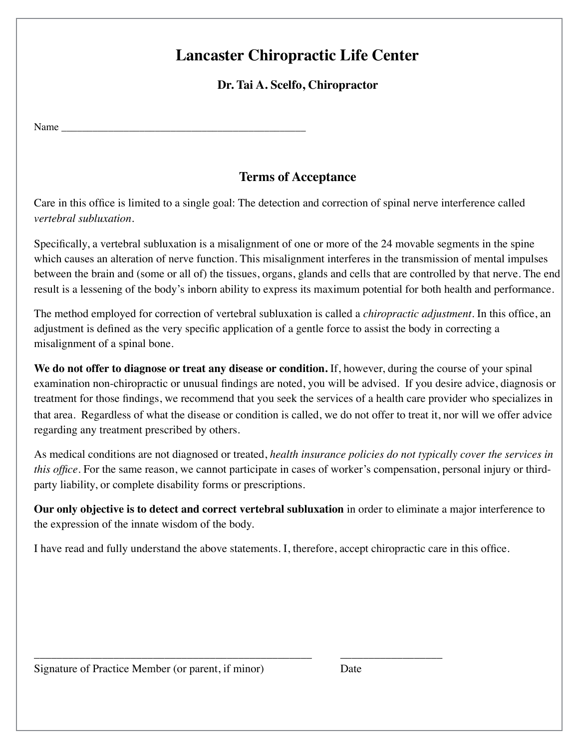# **Lancaster Chiropractic Life Center**

### **Dr. Tai A. Scelfo, Chiropractor**

Name \_\_\_\_\_\_\_\_\_\_\_\_\_\_\_\_\_\_\_\_\_\_\_\_\_\_\_\_\_\_\_\_\_\_\_\_\_\_\_\_\_\_\_\_\_\_\_

### **Terms of Acceptance**

Care in this office is limited to a single goal: The detection and correction of spinal nerve interference called *vertebral subluxation.* 

Specifically, a vertebral subluxation is a misalignment of one or more of the 24 movable segments in the spine which causes an alteration of nerve function. This misalignment interferes in the transmission of mental impulses between the brain and (some or all of) the tissues, organs, glands and cells that are controlled by that nerve. The end result is a lessening of the body's inborn ability to express its maximum potential for both health and performance.

The method employed for correction of vertebral subluxation is called a *chiropractic adjustment*. In this office, an adjustment is defined as the very specific application of a gentle force to assist the body in correcting a misalignment of a spinal bone.

**We do not offer to diagnose or treat any disease or condition.** If, however, during the course of your spinal examination non-chiropractic or unusual findings are noted, you will be advised. If you desire advice, diagnosis or treatment for those findings, we recommend that you seek the services of a health care provider who specializes in that area. Regardless of what the disease or condition is called, we do not offer to treat it, nor will we offer advice regarding any treatment prescribed by others.

As medical conditions are not diagnosed or treated, *health insurance policies do not typically cover the services in this office*. For the same reason, we cannot participate in cases of worker's compensation, personal injury or thirdparty liability, or complete disability forms or prescriptions.

**Our only objective is to detect and correct vertebral subluxation** in order to eliminate a major interference to the expression of the innate wisdom of the body.

I have read and fully understand the above statements. I, therefore, accept chiropractic care in this office.

\_\_\_\_\_\_\_\_\_\_\_\_\_\_\_\_\_\_\_\_\_\_\_\_\_\_\_\_\_\_\_\_\_\_\_\_\_\_\_\_\_\_\_\_\_\_\_\_\_ \_\_\_\_\_\_\_\_\_\_\_\_\_\_\_\_\_\_

Signature of Practice Member (or parent, if minor) Date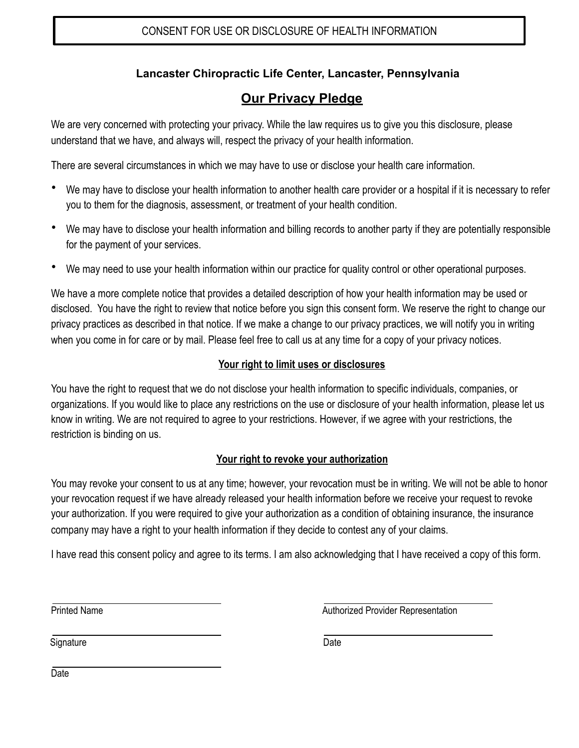### **Lancaster Chiropractic Life Center, Lancaster, Pennsylvania**

## **Our Privacy Pledge**

We are very concerned with protecting your privacy. While the law requires us to give you this disclosure, please understand that we have, and always will, respect the privacy of your health information.

There are several circumstances in which we may have to use or disclose your health care information.

- We may have to disclose your health information to another health care provider or a hospital if it is necessary to refer you to them for the diagnosis, assessment, or treatment of your health condition.
- We may have to disclose your health information and billing records to another party if they are potentially responsible for the payment of your services.
- We may need to use your health information within our practice for quality control or other operational purposes.

We have a more complete notice that provides a detailed description of how your health information may be used or disclosed. You have the right to review that notice before you sign this consent form. We reserve the right to change our privacy practices as described in that notice. If we make a change to our privacy practices, we will notify you in writing when you come in for care or by mail. Please feel free to call us at any time for a copy of your privacy notices.

#### **Your right to limit uses or disclosures**

You have the right to request that we do not disclose your health information to specific individuals, companies, or organizations. If you would like to place any restrictions on the use or disclosure of your health information, please let us know in writing. We are not required to agree to your restrictions. However, if we agree with your restrictions, the restriction is binding on us.

#### **Your right to revoke your authorization**

You may revoke your consent to us at any time; however, your revocation must be in writing. We will not be able to honor your revocation request if we have already released your health information before we receive your request to revoke your authorization. If you were required to give your authorization as a condition of obtaining insurance, the insurance company may have a right to your health information if they decide to contest any of your claims.

I have read this consent policy and agree to its terms. I am also acknowledging that I have received a copy of this form.

Printed Name

Authorized Provider Representation

**Signature** 

**Date** 

Date